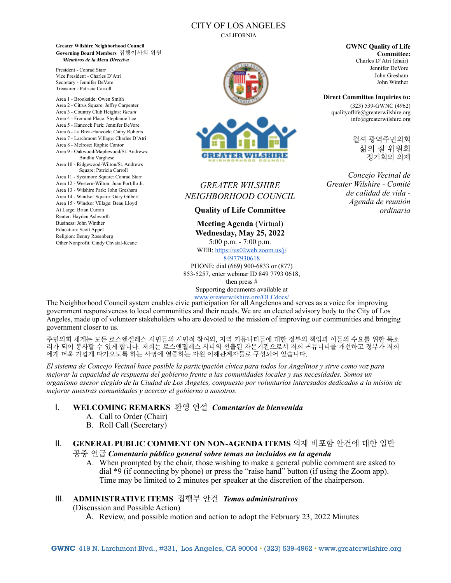## CITY OF LOS ANGELES

CALIFORNIA

**Greater Wilshire Neighborhood Council Governing Board Members** 집행이사회 위원 *Miembros de la Mesa Directiva*

President - Conrad Starr Vice President - Charles D'Atri Secretary - Jennifer DeVore Treasurer - Patricia Carroll

Area 1 - Brookside: Owen Smith Area 2 - Citrus Square: Jeffry Carpenter Area 3 - Country Club Heights: *Vacant* Area 4 - Fremont Place: Stephanie Lee Area 5 - Hancock Park: Jennifer DeVore Area 6 - La Brea-Hancock: Cathy Roberts Area 7 - Larchmont Village: Charles D'Atri Area 8 - Melrose: Raphie Cantor Area 9 - Oakwood/Maplewood/St. Andrews: Bindhu Varghese Area 10 - Ridgewood-Wilton/St. Andrews Square: Patricia Carroll Area 11 - Sycamore Square: Conrad Starr Area 12 - Western-Wilton: Juan Portillo Jr. Area 13 - Wilshire Park: John Gresham Area 14 - Windsor Square: Gary Gilbert Area 15 - Windsor Village: Beau Lloyd At Large: Brian Curran Renter: Hayden Ashworth Business: John Winther Education: Scott Appel Religion: Benny Rosenberg Other Nonprofit: Cindy Chvatal-Keane



# *GREATER WILSHIRE NEIGHBORHOOD COUNCIL*

**Quality of Life Committee**

**Meeting Agenda** (Virtual) **Wednesday, May 25, 2022** 5:00 p.m. - 7:00 p.m.

WEB: [https://us02web.zoom.us/j/](https://us02web.zoom.us/j/84977930618) [84977930618](https://us02web.zoom.us/j/84977930618)

PHONE: dial (669) 900-6833 or (877) 853-5257, enter webinar ID 849 7793 0618, then press # Supporting documents available at

The Neighborhood Council system enables civic participation for all Angelenos and serves as a voice for improving government responsiveness to local communities and their needs. We are an elected advisory body to the City of Los Angeles, made up of volunteer stakeholders who are devoted to the mission of improving our communities and bringing government closer to us. www.greaterwilshire.org/OLCdocs/

주민의회 체계는 모든 로스앤젤레스 시민들의 시민적 참여와, 지역 커뮤니티들에 대한 정부의 책임과 이들의 수요를 위한 목소 리가 되어 봉사할 수 있게 합니다. 저희는 로스앤젤레스 시티의 선출된 자문기관으로서 저희 커뮤니티를 개선하고 정부가 저희 에게 더욱 가깝게 다가오도록 하는 사명에 열중하는 자원 이해관계자들로 구성되어 있습니다.

*El sistema de Concejo Vecinal hace posible la participación cívica para todos los Angelinos y sirve como voz para mejorar la capacidad de respuesta del gobierno frente a las comunidades locales y sus necesidades. Somos un organismo asesor elegido de la Ciudad de Los Ángeles, compuesto por voluntarios interesados dedicados a la misión de mejorar nuestras comunidades y acercar el gobierno a nosotros.*

#### I. **WELCOMING REMARKS** 환영 연설 *Comentarios de bienvenida*

- A. Call to Order (Chair)
- B. Roll Call (Secretary)

#### II. **GENERAL PUBLIC COMMENT ON NON-AGENDA ITEMS** 의제 비포함 안건에 대한 일반 공중 언급 *Comentario público general sobre temas no incluidos en la agenda*

A. When prompted by the chair, those wishing to make a general public comment are asked to dial \*9 (if connecting by phone) or press the "raise hand" button (if using the Zoom app). Time may be limited to 2 minutes per speaker at the discretion of the chairperson.

### III. **ADMINISTRATIVE ITEMS** 집행부 안건*Temas administrativos*

(Discussion and Possible Action)

A. Review, and possible motion and action to adopt the February 23, 2022 Minutes

**GWNC Quality of Life Committee:** Charles D'Atri (chair) Jennifer DeVore John Gresham John Winther

**Direct Committee Inquiries to:** (323) 539-GWNC (4962) qualityoflife@greaterwilshire.org info@greaterwilshire.org

> 윌셔 광역주민의회 삶의 질 위원회 정기회의 의제

*Concejo Vecinal de Greater Wilshire - Comité de calidad de vida - Agenda de reunión ordinaria*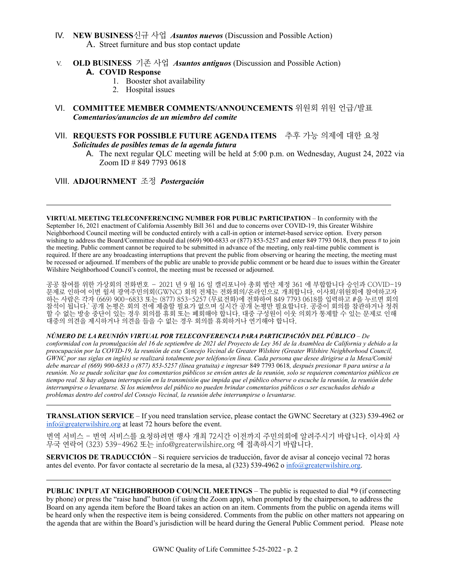- IV. **NEW BUSINESS**신규 사업*Asuntos nuevos* (Discussion and Possible Action) A. Street furniture and bus stop contact update
- V. **OLD BUSINESS** 기존 사업 *Asuntos antiguos* (Discussion and Possible Action) **A. COVID Response**
	- 1. Booster shot availability
	- 2. Hospital issues
- VI. **COMMITTEE MEMBER COMMENTS/ANNOUNCEMENTS** 위원회 위원 언급/발표 *Comentarios/anuncios de un miembro del comite*
- VII. **REQUESTS FOR POSSIBLE FUTURE AGENDA ITEMS** 추후 가능 의제에 대한 요청 *Solicitudes de posibles temas de la agenda futura* 
	- A. The next regular QLC meeting will be held at 5:00 p.m. on Wednesday, August 24, 2022 via Zoom ID # 849 7793 0618

#### VIII. **ADJOURNMENT** 조정 *Postergación*

**VIRTUAL MEETING TELECONFERENCING NUMBER FOR PUBLIC PARTICIPATION** – In conformity with the September 16, 2021 enactment of California Assembly Bill 361 and due to concerns over COVID-19, this Greater Wilshire Neighborhood Council meeting will be conducted entirely with a call-in option or internet-based service option. Every person wishing to address the Board/Committee should dial (669) 900-6833 or (877) 853-5257 and enter 849 7793 0618, then press # to join the meeting. Public comment cannot be required to be submitted in advance of the meeting, only real-time public comment is required. If there are any broadcasting interruptions that prevent the public from observing or hearing the meeting, the meeting must be recessed or adjourned. If members of the public are unable to provide public comment or be heard due to issues within the Greater Wilshire Neighborhood Council's control, the meeting must be recessed or adjourned.

공공 참여를 위한 가상회의 전화번호 – 2021 년 9 월 16 일 캘리포니아 총회 법안 제정 361 에 부합합니다 승인과 COVID-19 문제로 인하여 이번 윌셔 광역주민의회(GWNC) 회의 전체는 전화회의/온라인으로 개최합니다. 이사회/위원회에 참여하고자 하는 사람은 각자 (669) 900-6833 또는 (877) 853-5257 (무료전화)에 전화하여 849 7793 0618를 입력하고 #을 누르면 회의 참석이 됩니다.` 공개 논평은 회의 전에 제출할 필요가 없으며 실시간 공개 논평만 필요합니다. 공중이 회의를 참관하거나 청취 할 수 없는 방송 중단이 있는 경우 회의를 휴회 또는 폐회해야 합니다. 대중 구성원이 이웃 의회가 통제할 수 있는 문제로 인해 대중의 의견을 제시하거나 의견을 들을 수 없는 경우 회의를 휴회하거나 연기해야 합니다.

*NÚMERO DE LA REUNIÓN VIRTUAL POR TELECONFERENCIA PARA PARTICIPACIÓN DEL PÚBLICO* – *De conformidad con la promulgación del 16 de septiembre de 2021 del Proyecto de Ley 361 de la Asamblea de California y debido a la preocupación por la COVID-19, la reunión de este Concejo Vecinal de Greater Wilshire (Greater Wilshire Neighborhood Council, GWNC por sus siglas en inglés) se realizará totalmente por teléfono/en línea. Cada persona que desee dirigirse a la Mesa/Comité debe marcar el (669) 900-6833 o (877) 853-5257 (línea gratuita) e ingresar* 849 7793 0618*, después presionar # para unirse a la reunión. No se puede solicitar que los comentarios públicos se envíen antes de la reunión, solo se requieren comentarios públicos en tiempo real. Si hay alguna interrupción en la transmisión que impida que el público observe o escuche la reunión, la reunión debe interrumpirse o levantarse. Si los miembros del público no pueden brindar comentarios públicos o ser escuchados debido a problemas dentro del control del Consejo Vecinal, la reunión debe interrumpirse o levantarse.*

**TRANSLATION SERVICE** – If you need translation service, please contact the GWNC Secretary at (323) 539-4962 or [info@greaterwilshire.org](mailto:info@greaterwilshire.org) at least 72 hours before the event.

번역 서비스 - 번역 서비스를 요청하려면 행사 개최 72시간 이전까지 주민의회에 알려주시기 바랍니다. 이사회 사 무국 연락어 (323) 539-4962 또는 [info@greaterwilshire.org](mailto:info@greaterwilshire.org) 에 접촉하시기 바랍니다.

**SERVICIOS DE TRADUCCIÓN** – S[i requiere servicios de traducción, favor de avisar al concejo vecinal 72 horas](http://www.greaterwilshire.org/)  [antes del evento. Por favor contacte al secretario de la mesa, al \(323\) 539-4962 o](http://www.greaterwilshire.org/) [info@greaterwilshire.org](mailto:info@greaterwilshire.org)[.](http://www.greaterwilshire.org/)

**PUBLIC INPUT AT NEIGHBORHOOD COUNCIL MEETINGS – The public is requested to dial \*9 (if connecting** by phone) or press the "raise hand" button (if using the Zoom app), when prompted by the chairperson, to address the Board on any agenda item before the Board takes an action on an item. Comments from the public on agenda items will be heard only when the respective item is being considered. Comments from the public on other matters not appearing on the agenda that are within the Board's jurisdiction will be heard during the General Public Comment period. Please note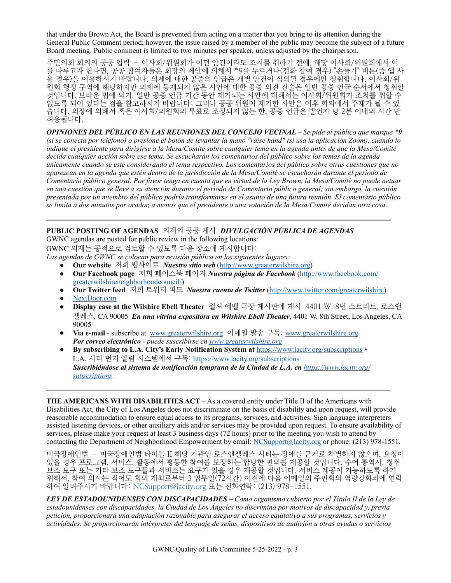that under the Brown Act, the Board is prevented from acting on a matter that you bring to its attention during the General Public Comment period; however, the issue raised by a member of the public may become the subject of a future Board meeting. Public comment is limited to two minutes per speaker, unless adjusted by the chairperson.

주민의회 회의의 공공 입력 – 이사회/위원회가 어떤 안건이라도 조치를 취하기 전에, 해당 이사회/위원회에서 이 를 다루고자 한다면, 공공 참여자들은 회장의 제안에 의해서 \*9를 누르거나(전화 참여 경우) "손들기" 버튼(줌 앱 사 용 경우)을 이용하시기 바랍니다. 의제에 대한 공중의 언급은 개별 안건이 심의될 경우에만 청취합니다. 이사회/위 원회 행정 구역에 해당하지만 의제에 등재되지 않은 사안에 대한 공중 의견 진술은 일반 공중 언급 순서에서 청취할 것입니다. 브라운 법에 의거, 일반 공중 언급 기간 동안 제기되는 사안에 대해서는 이사회/위원회가 조치를 취할 수 없도록 되어 있다는 점을 참고하시기 바랍니다; 그러나 공공 위원이 제기한 사안은 이후 회의에서 주제가 될 수 있 습니다. 의장에 의해서 혹은 이사회/의원회의 투표로 조정되지 않는 한, 공중 언급은 발언자 당 2분 이내의 시간 만 허용됩니다.

*OPINIONES DEL PÚBLICO EN LAS REUNIONES DEL CONCEJO VECINAL – Se pide al público que marque \*9 (si se conecta por teléfono) o presione el botón de levantar la mano "raise hand" (si usa la aplicación Zoom), cuando lo indique el presidente para dirigirse a la Mesa/Comité sobre cualquier tema en la agenda antes de que la Mesa/Comité decida cualquier acción sobre ese tema. Se escucharán los comentarios del público sobre los temas de la agenda únicamente cuando se esté considerando el tema respectivo. Los comentarios del público sobre otras cuestiones que no aparezcan en la agenda que estén dentro de la jurisdicción de la Mesa/Comité se escucharán durante el periodo de Comentario público general. Por favor tenga en cuenta que en virtud de la Ley Brown, la Mesa/Comité no puede actuar en una cuestión que se lleve a su atención durante el periodo de Comentario público general; sin embargo, la cuestión presentada por un miembro del público podría transformarse en el asunto de una futura reunión. El comentario público se limita a dos minutos por orador, a menos que el presidente o una votación de la Mesa/Comité decidan otra cosa.*

# **PUBLIC POSTING OF AGENDAS** 의제의 공공 게시*DIVULGACIÓN PÚBLICA DE AGENDAS*

GWNC agendas are posted for public review in the following locations:

GWNC 의제는 공적으로 검토할 수 있도록 다음 장소에 게시합니다:

*Las agendas de GWNC se colocan para revisión pública en los siguientes lugares:*

- **Our website** 저희 웹사이트 *Nuestro sitio web* [\(http://www.greaterwilshire.org](http://www.greaterwilshire.org))
- **Our Facebook page** 저희 페이스북 페이지 *Nuestra página de Facebook* [\(http://www.facebook.com/](http://www.facebook.com/greaterwilshireneighborhoodcouncil) [greaterwilshireneighborhoodcouncil/\)](http://www.facebook.com/greaterwilshireneighborhoodcouncil)
- **Our Twitter feed** 저희 트위터 피드 *Nuestra cuenta de Twitter* (<http://www.twitter.com/greaterwilshire>)
- [NextDoor.com](https://nextdoor.com/)
- **Display case at the Wilshire Ebell Theater** 윌셔 에벨 극장 게시판에 게시 4401 W. 8번 스트리트, 로스앤 젤레스, CA 90005 *En una vitrina expositora en Wilshire Ebell Theater*, 4401 W. 8th Street, Los Angeles, CA 90005
- **Via e-mail** subscribe at [www.greaterwilshire.org](http://www.greaterwilshire.org) 이메일 발송 구독: [www.greaterwilshire.org](http://www.greaterwilshire.org) *Por correo electrónico - puede suscribirse en [www.greaterwilshire.org](http://www.greaterwilshire.org)*
- **By subscribing to L.A. City's Early Notification System at** <https://www.lacity.org/subscriptions> L.A. 시티 먼저 알림 시스템에서 구독: <https://www.lacity.org/subscriptions> *Suscribiéndose al sistema de notificación temprana de la Ciudad de L.A. en [https://www.lacity.org/](https://www.lacity.org/subscriptions) [subscriptions](https://www.lacity.org/subscriptions)*

**THE AMERICANS WITH DISABILITIES ACT** – As a covered entity under Title II of the Americans with Disabilities Act, the City of Los Angeles does not discriminate on the basis of disability and upon request, will provide reasonable accommodation to ensure equal access to its programs, services, and activities. Sign language interpreters assisted listening devices, or other auxiliary aids and/or services may be provided upon request. To ensure availability of services, please make your request at least 3 business days (72 hours) prior to the meeting you wish to attend by contacting the Department of Neighborhood Empowerment by email: [NCSupport@lacity.org](mailto:NCSupport@lacity.org) or phone: (213) 978-1551.

미국장애인법 – 미국장애인법 타이틀 II 해당 기관인 로스앤젤레스 시티는 장애를 근거로 차별하지 않으며, 요청이 있을 경우 프로그램, 서비스, 활동에서 평등한 참여를 보장하는 합당한 편의를 제공할 것입니다. 수어 통역사, 청취 보조 도구 또는 기타 보조 도구들과 서비스는 요구가 있을 경우 제공할 것입니다. 서비스 제공이 가능하도록 하기 위해서, 참여 의사는 적어도 회의 개최로부터 3 업무일(72시간) 이전에 다음 이메일의 주민회의 역량강화과에 연락 하여 알려주시기 바랍니다: [NCSupport@lacity.org](mailto:NCSupport@lacity.org) 또는 전화연락: (213) 978-1551.

*LEY DE ESTADOUNIDENSES CON DISCAPACIDADES – Como organismo cubierto por el Título II de la Ley de estadounidenses con discapacidades, la Ciudad de Los Ángeles no discrimina por motivos de discapacidad y, previa petición, proporcionará una adaptación razonable para asegurar el acceso equitativo a sus programas, servicios y actividades. Se proporcionarán intérpretes del lenguaje de señas, dispositivos de audición u otras ayudas o servicios*